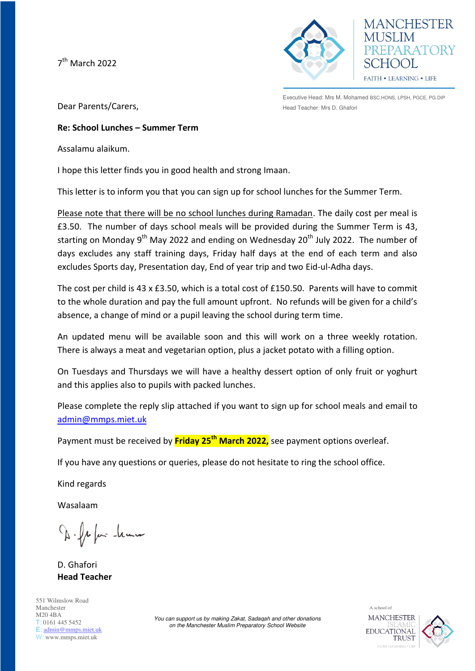7<sup>th</sup> March 2022



Executive Head: Mrs M. Mohamed BSC.HONS, LPSH, PGCE, PG.DIP Head Teacher: Mrs D. Ghafori

**MANCHESTER** 

 $H(x)$ FAITH . LEARNING . LIFE

EPARATORY

Dear Parents/Carers,

## **Re: School Lunches – Summer Term**

Assalamu alaikum.

I hope this letter finds you in good health and strong Imaan.

This letter is to inform you that you can sign up for school lunches for the Summer Term.

Please note that there will be no school lunches during Ramadan. The daily cost per meal is £3.50. The number of days school meals will be provided during the Summer Term is 43, starting on Monday 9<sup>th</sup> May 2022 and ending on Wednesday 20<sup>th</sup> July 2022. The number of days excludes any staff training days, Friday half days at the end of each term and also excludes Sports day, Presentation day, End of year trip and two Eid-ul-Adha days.

The cost per child is 43 x £3.50, which is a total cost of £150.50. Parents will have to commit to the whole duration and pay the full amount upfront. No refunds will be given for a child's absence, a change of mind or a pupil leaving the school during term time.

An updated menu will be available soon and this will work on a three weekly rotation. There is always a meat and vegetarian option, plus a jacket potato with a filling option.

On Tuesdays and Thursdays we will have a healthy dessert option of only fruit or yoghurt and this applies also to pupils with packed lunches.

Please complete the reply slip attached if you want to sign up for school meals and email to [admin@mmps.miet.uk](mailto:admin@mmps.miet.uk)

Payment must be received by **Friday 25th March 2022,** see payment options overleaf.

If you have any questions or queries, please do not hesitate to ring the school office.

Kind regards

Wasalaam

D. fr fair -learn

D. Ghafori **Head Teacher** 

551 Wilmslow Road Manchester M20 4BA T: 0161 445 5452 E: [admin@mmps.miet.uk](mailto:admin@mmps.miet.uk) W: www.mmps.miet.uk

*You can support us by making Zakat, Sadaqah and other donations on the Manchester Muslim Preparatory School Website* 

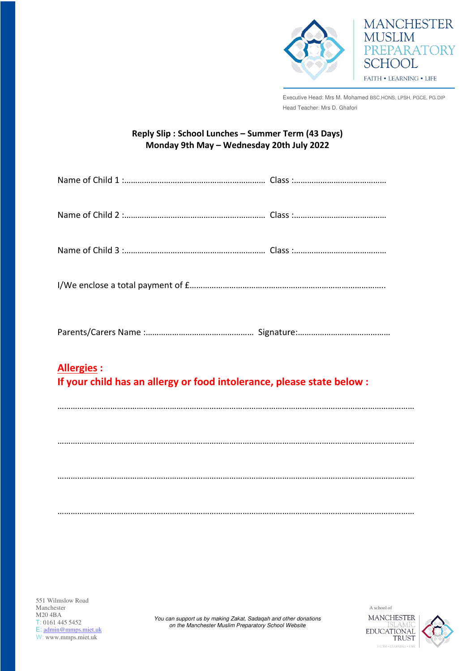

FAITH . LEARNING . LIFE

**MUSLIM** 

**SCHOOL** 

**MANCHESTER** 

PREPARATORY

Executive Head: Mrs M. Mohamed BSC.HONS, LPSH, PGCE, PG.DIP Head Teacher: Mrs D. Ghafori

## **Reply Slip : School Lunches – Summer Term (43 Days) Monday 9th May – Wednesday 20th July 2022**

| <b>Allergies:</b><br>If your child has an allergy or food intolerance, please state below : |
|---------------------------------------------------------------------------------------------|
|                                                                                             |
|                                                                                             |
|                                                                                             |
|                                                                                             |

*You can support us by making Zakat, Sadaqah and other donations on the Manchester Muslim Preparatory School Website*